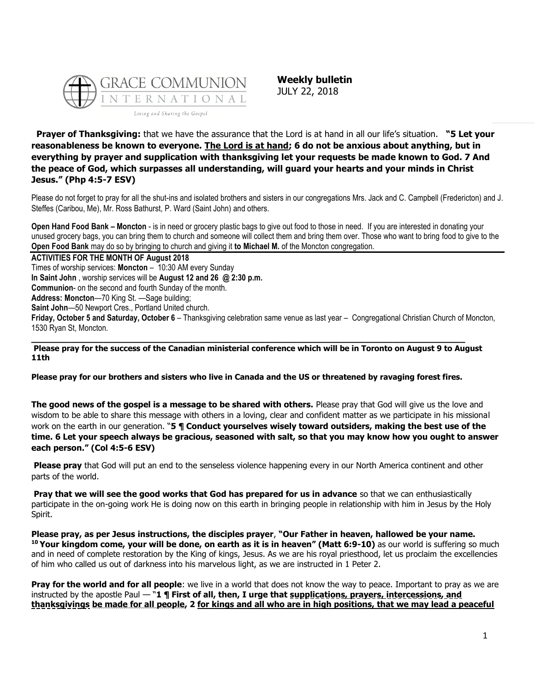

**Weekly bulletin** JULY 22, 2018

**Prayer of Thanksgiving:** that we have the assurance that the Lord is at hand in all our life's situation. **"5 Let your reasonableness be known to everyone. The Lord is at hand; 6 do not be anxious about anything, but in everything by prayer and supplication with thanksgiving let your requests be made known to God. 7 And the peace of God, which surpasses all understanding, will guard your hearts and your minds in Christ Jesus." (Php 4:5-7 ESV)**

Please do not forget to pray for all the shut-ins and isolated brothers and sisters in our congregations Mrs. Jack and C. Campbell (Fredericton) and J. Steffes (Caribou, Me), Mr. Ross Bathurst, P. Ward (Saint John) and others.

**Open Hand Food Bank – Moncton** - is in need or grocery plastic bags to give out food to those in need. If you are interested in donating your unused grocery bags, you can bring them to church and someone will collect them and bring them over. Those who want to bring food to give to the **Open Food Bank** may do so by bringing to church and giving it **to Michael M.** of the Moncton congregation.

**ACTIVITIES FOR THE MONTH OF August 2018** Times of worship services: **Moncton** – 10:30 AM every Sunday **In Saint John** , worship services will be **August 12 and 26 @ 2:30 p.m. Communion**- on the second and fourth Sunday of the month. **Address: Moncton**—70 King St. —Sage building; **Saint John**—50 Newport Cres., Portland United church.

**Friday, October 5 and Saturday, October 6** – Thanksgiving celebration same venue as last year – Congregational Christian Church of Moncton, 1530 Ryan St, Moncton.

**Please pray for the success of the Canadian ministerial conference which will be in Toronto on August 9 to August 11th**

**Please pray for our brothers and sisters who live in Canada and the US or threatened by ravaging forest fires.**

**\_\_\_\_\_\_\_\_\_\_\_\_\_\_\_\_\_\_\_\_\_\_\_\_\_\_\_\_\_\_\_\_\_\_\_\_\_\_\_\_\_\_\_\_\_\_\_\_\_\_\_\_\_\_\_\_\_\_\_\_\_\_\_\_\_\_\_\_\_\_\_\_\_\_\_\_\_\_**

**The good news of the gospel is a message to be shared with others.** Please pray that God will give us the love and wisdom to be able to share this message with others in a loving, clear and confident matter as we participate in his missional work on the earth in our generation. "**5 ¶ Conduct yourselves wisely toward outsiders, making the best use of the time. 6 Let your speech always be gracious, seasoned with salt, so that you may know how you ought to answer each person." (Col 4:5-6 ESV)**

**Please pray** that God will put an end to the senseless violence happening every in our North America continent and other parts of the world.

**Pray that we will see the good works that God has prepared for us in advance** so that we can enthusiastically participate in the on-going work He is doing now on this earth in bringing people in relationship with him in Jesus by the Holy Spirit.

**Please pray, as per Jesus instructions, the disciples prayer**, **"Our Father in heaven, hallowed be your name. <sup>10</sup> Your kingdom come, your will be done, on earth as it is in heaven" (Matt 6:9-10)** as our world is suffering so much and in need of complete restoration by the King of kings, Jesus. As we are his royal priesthood, let us proclaim the excellencies of him who called us out of darkness into his marvelous light, as we are instructed in 1 Peter 2.

**Pray for the world and for all people**: we live in a world that does not know the way to peace. Important to pray as we are instructed by the apostle Paul — "**1 ¶ First of all, then, I urge that supplications, prayers, intercessions, and thanksgivings be made for all people, 2 for kings and all who are in high positions, that we may lead a peaceful**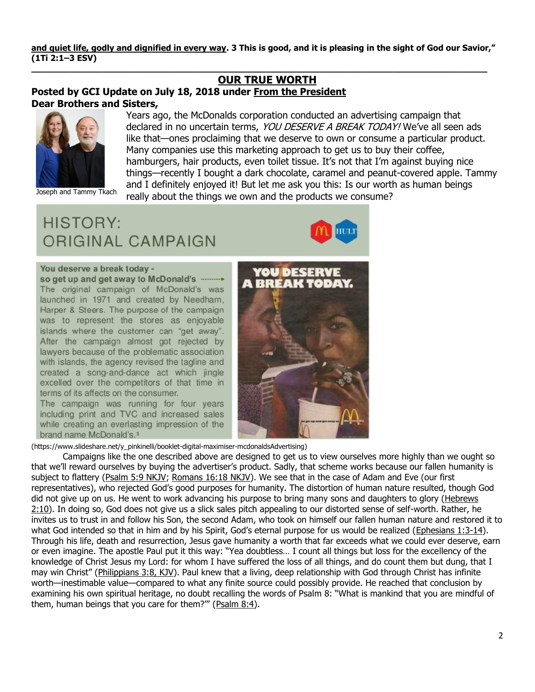and quiet life, godly and dignified in every way. 3 This is good, and it is pleasing in the sight of God our Savior," **(1Ti 2:1–3 ESV)**

> Years ago, the McDonalds corporation conducted an advertising campaign that declared in no uncertain terms, YOU DESERVE A BREAK TODAY! We've all seen ads like that—ones proclaiming that we deserve to own or consume a particular product.

hamburgers, hair products, even toilet tissue. It's not that I'm against buying nice things—recently I bought a dark chocolate, caramel and peanut-covered apple. Tammy and I definitely enjoyed it! But let me ask you this: Is our worth as human beings

Many companies use this marketing approach to get us to buy their coffee,

**\_\_\_\_\_\_\_\_\_\_\_\_\_\_\_\_\_\_\_\_\_\_\_\_\_\_\_\_\_\_\_\_\_\_\_\_\_\_\_\_\_\_\_\_\_\_\_\_\_\_\_\_\_\_\_\_\_\_\_\_\_\_\_\_\_\_\_\_\_\_\_\_\_\_\_\_\_\_\_\_\_\_**

really about the things we own and the products we consume?

## **[OUR TRUE WORTH](https://update.gci.org/2018/07/our-true-worth/) Posted by GCI Update on July 18, 2018 under [From the President](https://update.gci.org/category/president/) Dear Brothers and Sisters,**



Joseph and Tammy Tkach

**HISTORY: ORIGINAL CAMPAIGN** 



## You deserve a break today -

so get up and get away to McDonald's ........... The original campaign of McDonald's was launched in 1971 and created by Needham, Harper & Steers. The purpose of the campaign was to represent the stores as enjoyable islands where the customer can "get away". After the campaign almost got rejected by lawyers because of the problematic association with islands, the agency revised the tagline and created a song-and-dance act which jingle excelled over the competitors of that time in terms of its affects on the consumer.

The campaign was running for four years including print and TVC and increased sales while creating an everlasting impression of the brand name McDonald's.<sup>1</sup>



(https://www.slideshare.net/y\_pinkinelli/booklet-digital-maximiser-mcdonaldsAdvertising)

Campaigns like the one described above are designed to get us to view ourselves more highly than we ought so that we'll reward ourselves by buying the advertiser's product. Sadly, that scheme works because our fallen humanity is subject to flattery [\(Psalm 5:9 NKJV;](https://biblia.com/bible/nkjv/Ps%205.9) Romans [16:18 NKJV\)](https://biblia.com/bible/nkjv/Rom%2016.18). We see that in the case of Adam and Eve (our first representatives), who rejected God's good purposes for humanity. The distortion of human nature resulted, though God did not give up on us. He went to work advancing his purpose to bring many sons and daughters to glory (Hebrews [2:10\)](https://biblia.com/bible/niv/Heb%202.10). In doing so, God does not give us a slick sales pitch appealing to our distorted sense of self-worth. Rather, he invites us to trust in and follow his Son, the second Adam, who took on himself our fallen human nature and restored it to what God intended so that in him and by his Spirit, God's eternal purpose for us would be realized ([Ephesians 1:3-14\)](https://biblia.com/bible/niv/Eph%201.3-14). Through his life, death and resurrection, Jesus gave humanity a worth that far exceeds what we could ever deserve, earn or even imagine. The apostle Paul put it this way: "Yea doubtless… I count all things but loss for the excellency of the knowledge of Christ Jesus my Lord: for whom I have suffered the loss of all things, and do count them but dung, that I may win Christ" ([Philippians 3:8, KJV\)](https://biblia.com/bible/kjv1900/Phil%203.8). Paul knew that a living, deep relationship with God through Christ has infinite worth—inestimable value—compared to what any finite source could possibly provide. He reached that conclusion by examining his own spiritual heritage, no doubt recalling the words of Psalm 8: "What is mankind that you are mindful of them, human beings that you care for them?"" ([Psalm 8:4\)](https://biblia.com/bible/niv/Ps%208.4).